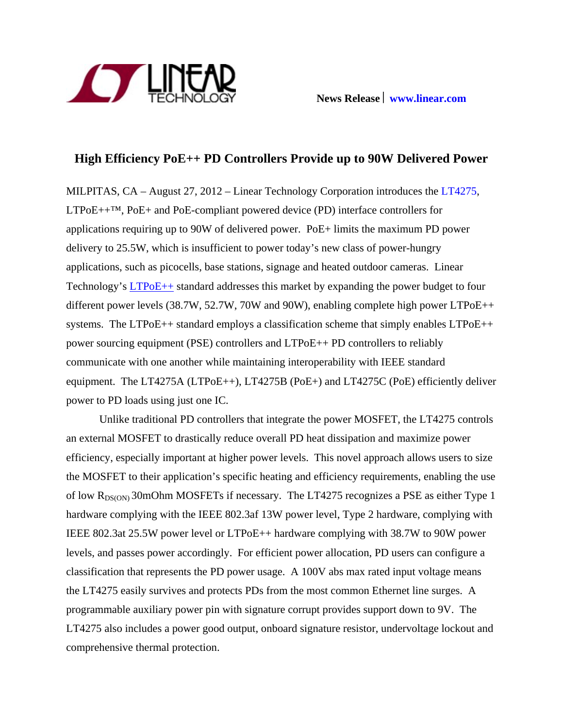

# **High Efficiency PoE++ PD Controllers Provide up to 90W Delivered Power**

MILPITAS, CA – August 27, 2012 – Linear Technology Corporation introduces the [LT4275,](http://www.linear.com/product/LT4275)  $LTPoE++^{TM}$ , PoE+ and PoE-compliant powered device (PD) interface controllers for applications requiring up to 90W of delivered power. PoE+ limits the maximum PD power delivery to 25.5W, which is insufficient to power today's new class of power-hungry applications, such as picocells, base stations, signage and heated outdoor cameras. Linear Technology's [LTPoE++](http://www.linear.com/LTPoE++) standard addresses this market by expanding the power budget to four different power levels (38.7W, 52.7W, 70W and 90W), enabling complete high power LTPoE++ systems. The LTPoE++ standard employs a classification scheme that simply enables LTPoE++ power sourcing equipment (PSE) controllers and LTPoE++ PD controllers to reliably communicate with one another while maintaining interoperability with IEEE standard equipment. The LT4275A (LTPoE++), LT4275B (PoE+) and LT4275C (PoE) efficiently deliver power to PD loads using just one IC.

Unlike traditional PD controllers that integrate the power MOSFET, the LT4275 controls an external MOSFET to drastically reduce overall PD heat dissipation and maximize power efficiency, especially important at higher power levels. This novel approach allows users to size the MOSFET to their application's specific heating and efficiency requirements, enabling the use of low  $R_{DS(ON)}$  30mOhm MOSFETs if necessary. The LT4275 recognizes a PSE as either Type 1 hardware complying with the IEEE 802.3af 13W power level, Type 2 hardware, complying with IEEE 802.3at 25.5W power level or LTPoE++ hardware complying with 38.7W to 90W power levels, and passes power accordingly. For efficient power allocation, PD users can configure a classification that represents the PD power usage. A 100V abs max rated input voltage means the LT4275 easily survives and protects PDs from the most common Ethernet line surges. A programmable auxiliary power pin with signature corrupt provides support down to 9V. The LT4275 also includes a power good output, onboard signature resistor, undervoltage lockout and comprehensive thermal protection.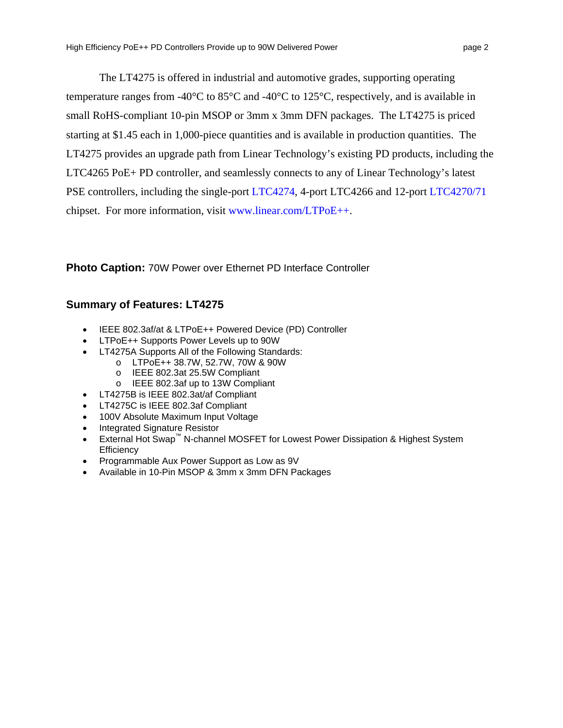The LT4275 is offered in industrial and automotive grades, supporting operating temperature ranges from -40 $\degree$ C to 85 $\degree$ C and -40 $\degree$ C to 125 $\degree$ C, respectively, and is available in small RoHS-compliant 10-pin MSOP or 3mm x 3mm DFN packages. The LT4275 is priced starting at \$1.45 each in 1,000-piece quantities and is available in production quantities. The LT4275 provides an upgrade path from Linear Technology's existing PD products, including the LTC4265 PoE+ PD controller, and seamlessly connects to any of Linear Technology's latest PSE controllers, including the single-port [LTC4274,](http://www.linear.com/product/LTC4274) 4-port LTC4266 and 12-port [LTC4270/71](http://www.linear.com/product/LTC4270) chipset. For more information, visit [www.linear.com/LTPoE++](http://www.linear.com/LTPoE++).

**Photo Caption:** 70W Power over Ethernet PD Interface Controller

## **Summary of Features: LT4275**

- IEEE 802.3af/at & LTPoE++ Powered Device (PD) Controller
- LTPoE++ Supports Power Levels up to 90W
- LT4275A Supports All of the Following Standards:
	- o LTPoE++ 38.7W, 52.7W, 70W & 90W
	- o IEEE 802.3at 25.5W Compliant
	- o IEEE 802.3af up to 13W Compliant
- LT4275B is IEEE 802.3at/af Compliant
- LT4275C is IEEE 802.3af Compliant
- 100V Absolute Maximum Input Voltage
- Integrated Signature Resistor
- External Hot Swap™ N-channel MOSFET for Lowest Power Dissipation & Highest System **Efficiency**
- Programmable Aux Power Support as Low as 9V
- Available in 10-Pin MSOP & 3mm x 3mm DFN Packages